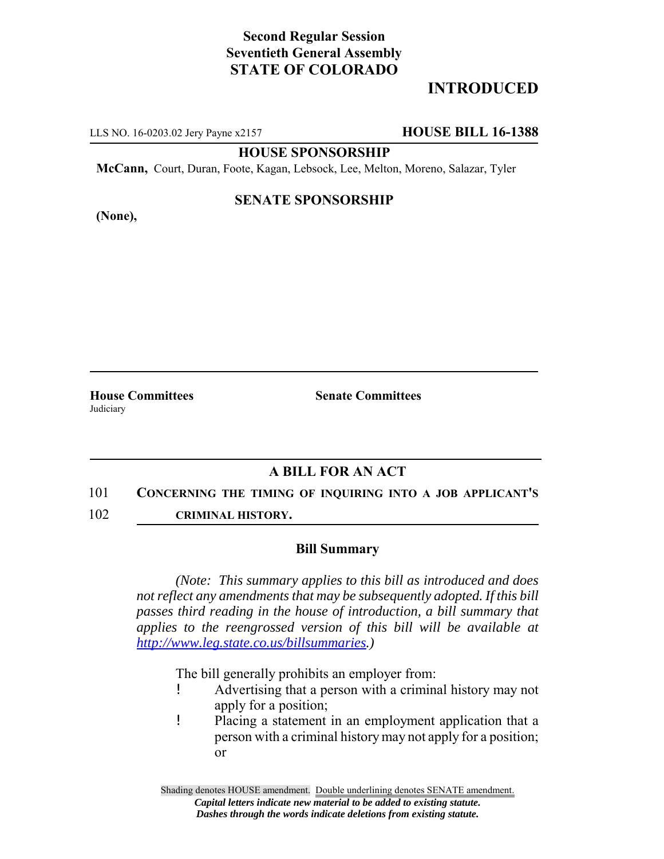# **Second Regular Session Seventieth General Assembly STATE OF COLORADO**

# **INTRODUCED**

LLS NO. 16-0203.02 Jery Payne x2157 **HOUSE BILL 16-1388**

**HOUSE SPONSORSHIP**

**McCann,** Court, Duran, Foote, Kagan, Lebsock, Lee, Melton, Moreno, Salazar, Tyler

## **(None),**

## **SENATE SPONSORSHIP**

**House Committees Senate Committees** Judiciary

## **A BILL FOR AN ACT**

#### 101 **CONCERNING THE TIMING OF INQUIRING INTO A JOB APPLICANT'S**

102 **CRIMINAL HISTORY.**

### **Bill Summary**

*(Note: This summary applies to this bill as introduced and does not reflect any amendments that may be subsequently adopted. If this bill passes third reading in the house of introduction, a bill summary that applies to the reengrossed version of this bill will be available at http://www.leg.state.co.us/billsummaries.)*

The bill generally prohibits an employer from:

- ! Advertising that a person with a criminal history may not apply for a position;
- ! Placing a statement in an employment application that a person with a criminal history may not apply for a position; or

Shading denotes HOUSE amendment. Double underlining denotes SENATE amendment. *Capital letters indicate new material to be added to existing statute. Dashes through the words indicate deletions from existing statute.*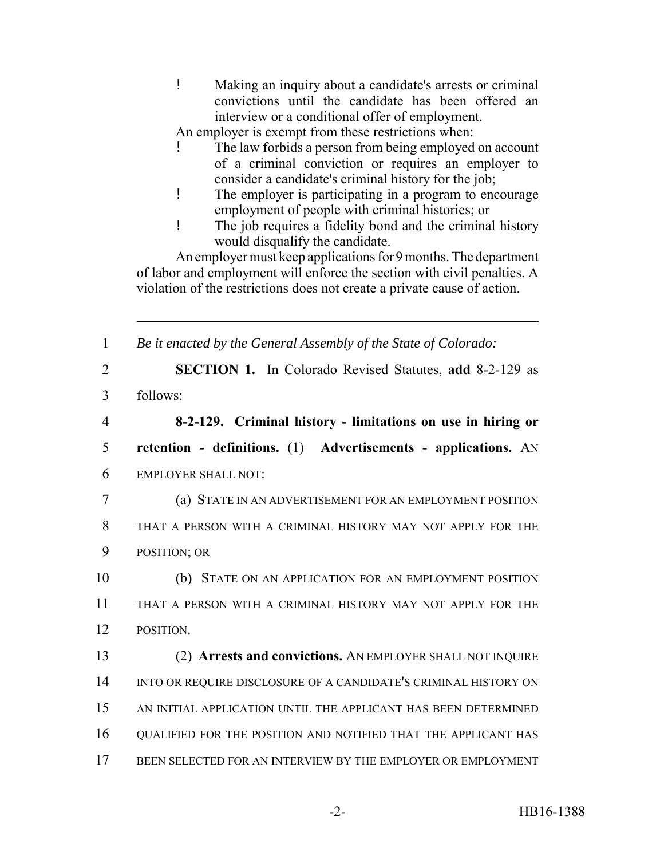! Making an inquiry about a candidate's arrests or criminal convictions until the candidate has been offered an interview or a conditional offer of employment.

An employer is exempt from these restrictions when:

- The law forbids a person from being employed on account of a criminal conviction or requires an employer to consider a candidate's criminal history for the job;
- ! The employer is participating in a program to encourage employment of people with criminal histories; or
- ! The job requires a fidelity bond and the criminal history would disqualify the candidate.

An employer must keep applications for 9 months. The department of labor and employment will enforce the section with civil penalties. A violation of the restrictions does not create a private cause of action.

 *Be it enacted by the General Assembly of the State of Colorado:* **SECTION 1.** In Colorado Revised Statutes, **add** 8-2-129 as 3 follows: **8-2-129. Criminal history - limitations on use in hiring or retention - definitions.** (1) **Advertisements - applications.** AN EMPLOYER SHALL NOT: (a) STATE IN AN ADVERTISEMENT FOR AN EMPLOYMENT POSITION THAT A PERSON WITH A CRIMINAL HISTORY MAY NOT APPLY FOR THE POSITION; OR (b) STATE ON AN APPLICATION FOR AN EMPLOYMENT POSITION THAT A PERSON WITH A CRIMINAL HISTORY MAY NOT APPLY FOR THE POSITION. (2) **Arrests and convictions.** AN EMPLOYER SHALL NOT INQUIRE 14 INTO OR REQUIRE DISCLOSURE OF A CANDIDATE'S CRIMINAL HISTORY ON AN INITIAL APPLICATION UNTIL THE APPLICANT HAS BEEN DETERMINED QUALIFIED FOR THE POSITION AND NOTIFIED THAT THE APPLICANT HAS BEEN SELECTED FOR AN INTERVIEW BY THE EMPLOYER OR EMPLOYMENT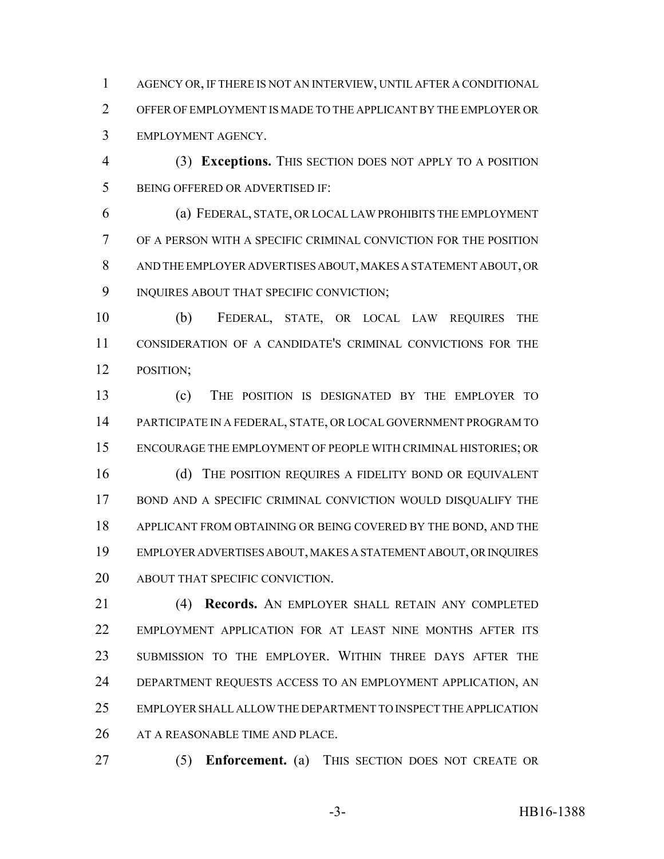AGENCY OR, IF THERE IS NOT AN INTERVIEW, UNTIL AFTER A CONDITIONAL OFFER OF EMPLOYMENT IS MADE TO THE APPLICANT BY THE EMPLOYER OR EMPLOYMENT AGENCY.

 (3) **Exceptions.** THIS SECTION DOES NOT APPLY TO A POSITION BEING OFFERED OR ADVERTISED IF:

 (a) FEDERAL, STATE, OR LOCAL LAW PROHIBITS THE EMPLOYMENT OF A PERSON WITH A SPECIFIC CRIMINAL CONVICTION FOR THE POSITION AND THE EMPLOYER ADVERTISES ABOUT, MAKES A STATEMENT ABOUT, OR 9 INQUIRES ABOUT THAT SPECIFIC CONVICTION;

 (b) FEDERAL, STATE, OR LOCAL LAW REQUIRES THE CONSIDERATION OF A CANDIDATE'S CRIMINAL CONVICTIONS FOR THE POSITION;

 (c) THE POSITION IS DESIGNATED BY THE EMPLOYER TO PARTICIPATE IN A FEDERAL, STATE, OR LOCAL GOVERNMENT PROGRAM TO ENCOURAGE THE EMPLOYMENT OF PEOPLE WITH CRIMINAL HISTORIES; OR 16 (d) THE POSITION REQUIRES A FIDELITY BOND OR EQUIVALENT BOND AND A SPECIFIC CRIMINAL CONVICTION WOULD DISQUALIFY THE APPLICANT FROM OBTAINING OR BEING COVERED BY THE BOND, AND THE EMPLOYER ADVERTISES ABOUT, MAKES A STATEMENT ABOUT, OR INQUIRES ABOUT THAT SPECIFIC CONVICTION.

 (4) **Records.** AN EMPLOYER SHALL RETAIN ANY COMPLETED EMPLOYMENT APPLICATION FOR AT LEAST NINE MONTHS AFTER ITS SUBMISSION TO THE EMPLOYER. WITHIN THREE DAYS AFTER THE DEPARTMENT REQUESTS ACCESS TO AN EMPLOYMENT APPLICATION, AN EMPLOYER SHALL ALLOW THE DEPARTMENT TO INSPECT THE APPLICATION AT A REASONABLE TIME AND PLACE.

(5) **Enforcement.** (a) THIS SECTION DOES NOT CREATE OR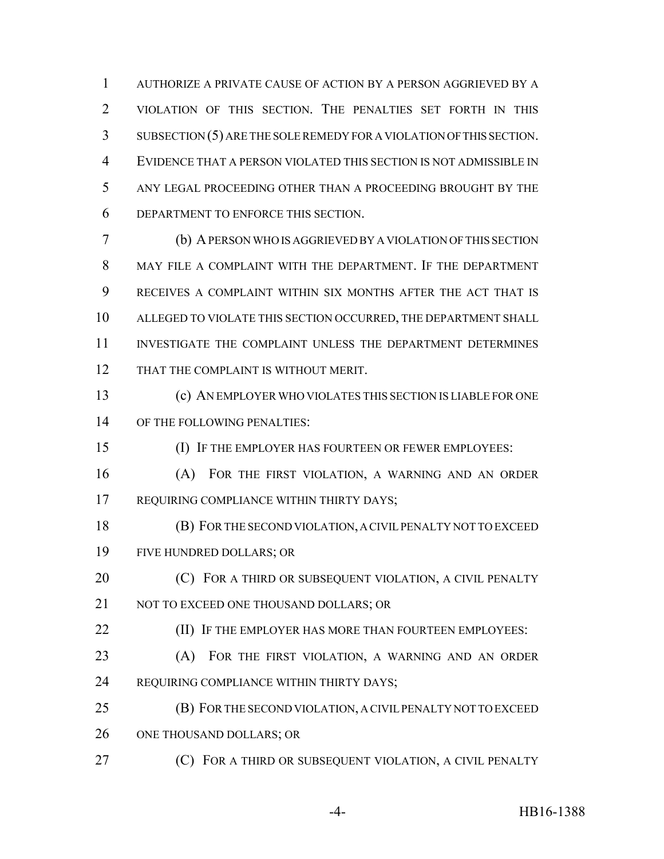AUTHORIZE A PRIVATE CAUSE OF ACTION BY A PERSON AGGRIEVED BY A VIOLATION OF THIS SECTION. THE PENALTIES SET FORTH IN THIS SUBSECTION (5) ARE THE SOLE REMEDY FOR A VIOLATION OF THIS SECTION. EVIDENCE THAT A PERSON VIOLATED THIS SECTION IS NOT ADMISSIBLE IN ANY LEGAL PROCEEDING OTHER THAN A PROCEEDING BROUGHT BY THE DEPARTMENT TO ENFORCE THIS SECTION.

 (b) A PERSON WHO IS AGGRIEVED BY A VIOLATION OF THIS SECTION MAY FILE A COMPLAINT WITH THE DEPARTMENT. IF THE DEPARTMENT RECEIVES A COMPLAINT WITHIN SIX MONTHS AFTER THE ACT THAT IS ALLEGED TO VIOLATE THIS SECTION OCCURRED, THE DEPARTMENT SHALL INVESTIGATE THE COMPLAINT UNLESS THE DEPARTMENT DETERMINES 12 THAT THE COMPLAINT IS WITHOUT MERIT.

 (c) AN EMPLOYER WHO VIOLATES THIS SECTION IS LIABLE FOR ONE OF THE FOLLOWING PENALTIES:

(I) IF THE EMPLOYER HAS FOURTEEN OR FEWER EMPLOYEES:

 (A) FOR THE FIRST VIOLATION, A WARNING AND AN ORDER 17 REQUIRING COMPLIANCE WITHIN THIRTY DAYS;

 (B) FOR THE SECOND VIOLATION, A CIVIL PENALTY NOT TO EXCEED FIVE HUNDRED DOLLARS; OR

**(C)** FOR A THIRD OR SUBSEQUENT VIOLATION, A CIVIL PENALTY 21 NOT TO EXCEED ONE THOUSAND DOLLARS; OR

**(II) IF THE EMPLOYER HAS MORE THAN FOURTEEN EMPLOYEES:** 

 (A) FOR THE FIRST VIOLATION, A WARNING AND AN ORDER REQUIRING COMPLIANCE WITHIN THIRTY DAYS;

 (B) FOR THE SECOND VIOLATION, A CIVIL PENALTY NOT TO EXCEED 26 ONE THOUSAND DOLLARS; OR

**(C)** FOR A THIRD OR SUBSEQUENT VIOLATION, A CIVIL PENALTY